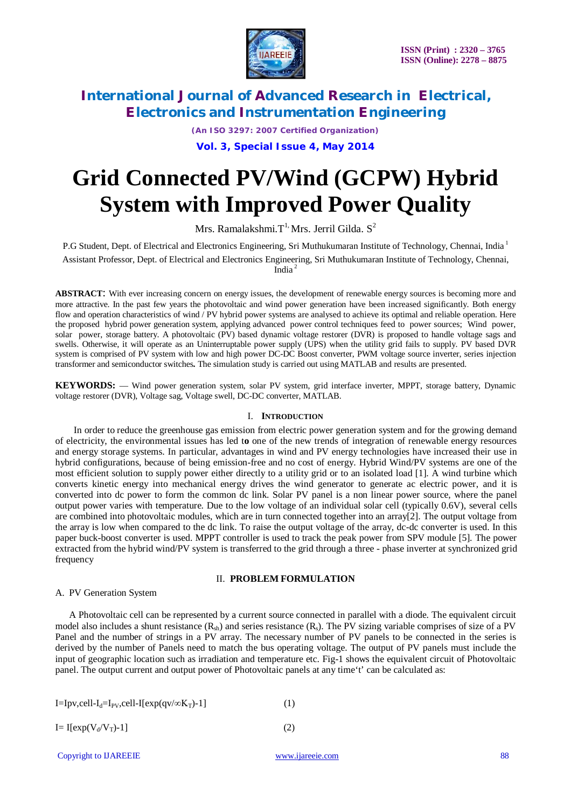

*(An ISO 3297: 2007 Certified Organization)*

**Vol. 3, Special Issue 4, May 2014**

# **Grid Connected PV/Wind (GCPW) Hybrid System with Improved Power Quality**

Mrs. Ramalakshmi. $\operatorname{T}\nolimits^1$ Mrs. Jerril Gilda.  $\operatorname{S}\nolimits^2$ 

P.G Student, Dept. of Electrical and Electronics Engineering, Sri Muthukumaran Institute of Technology, Chennai, India<sup>1</sup> Assistant Professor, Dept. of Electrical and Electronics Engineering, Sri Muthukumaran Institute of Technology, Chennai, India <sup>2</sup>

**ABSTRACT**: With ever increasing concern on energy issues, the development of renewable energy sources is becoming more and more attractive. In the past few years the photovoltaic and wind power generation have been increased significantly. Both energy flow and operation characteristics of wind / PV hybrid power systems are analysed to achieve its optimal and reliable operation. Here the proposed hybrid power generation system, applying advanced power control techniques feed to power sources; Wind power, solar power, storage battery. A photovoltaic (PV) based dynamic voltage restorer (DVR) is proposed to handle voltage sags and swells. Otherwise, it will operate as an Uninterruptable power supply (UPS) when the utility grid fails to supply. PV based DVR system is comprised of PV system with low and high power DC-DC Boost converter, PWM voltage source inverter, series injection transformer and semiconductor switches**.** The simulation study is carried out using MATLAB and results are presented.

**KEYWORDS:** — Wind power generation system, solar PV system, grid interface inverter, MPPT, storage battery, Dynamic voltage restorer (DVR), Voltage sag, Voltage swell, DC-DC converter, MATLAB.

### I. **INTRODUCTION**

 In order to reduce the greenhouse gas emission from electric power generation system and for the growing demand of electricity, the environmental issues has led t**o** one of the new trends of integration of renewable energy resources and energy storage systems. In particular, advantages in wind and PV energy technologies have increased their use in hybrid configurations, because of being emission-free and no cost of energy. Hybrid Wind/PV systems are one of the most efficient solution to supply power either directly to a utility grid or to an isolated load [1]. A wind turbine which converts kinetic energy into mechanical energy drives the wind generator to generate ac electric power, and it is converted into dc power to form the common dc link. Solar PV panel is a non linear power source, where the panel output power varies with temperature. Due to the low voltage of an individual solar cell (typically 0.6V), several cells are combined into photovoltaic modules, which are in turn connected together into an array[2]. The output voltage from the array is low when compared to the dc link. To raise the output voltage of the array, dc-dc converter is used. In this paper buck-boost converter is used. MPPT controller is used to track the peak power from SPV module [5]. The power extracted from the hybrid wind/PV system is transferred to the grid through a three - phase inverter at synchronized grid frequency

#### II. **PROBLEM FORMULATION**

### A. PV Generation System

A Photovoltaic cell can be represented by a current source connected in parallel with a diode. The equivalent circuit model also includes a shunt resistance  $(R_{sh})$  and series resistance  $(R_s)$ . The PV sizing variable comprises of size of a PV Panel and the number of strings in a PV array. The necessary number of PV panels to be connected in the series is derived by the number of Panels need to match the bus operating voltage. The output of PV panels must include the input of geographic location such as irradiation and temperature etc. Fig-1 shows the equivalent circuit of Photovoltaic panel. The output current and output power of Photovoltaic panels at any time't' can be calculated as:

Copyright to IJAREEIE www.ijareeie.com 88

| $I = Ipv, cell - Id = IPV, cell - I [exp(qv/\infty KT) - 1]$ | (1) |  |
|--------------------------------------------------------------|-----|--|
| $I = I[exp(V_d/V_T)-1]$                                      | (2) |  |
|                                                              |     |  |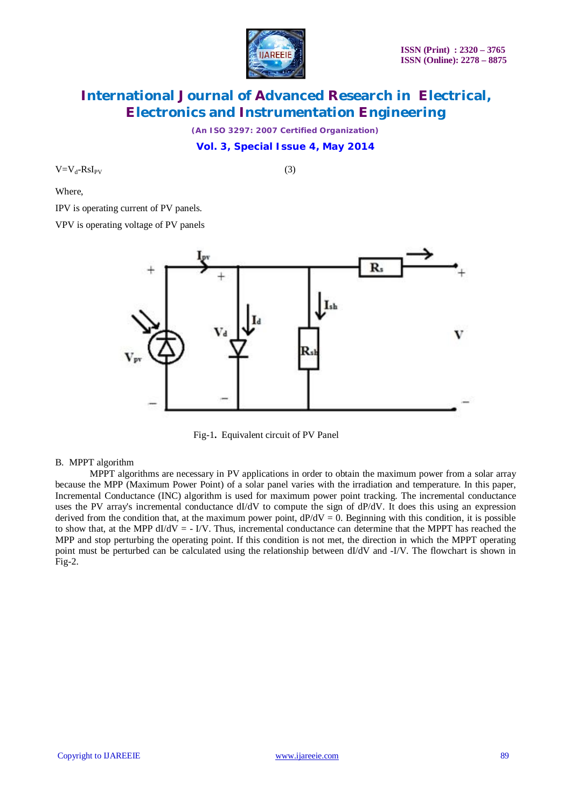

*(An ISO 3297: 2007 Certified Organization)*

**Vol. 3, Special Issue 4, May 2014**

 $V = V_d - RsI_{PV}$  (3)

Where,

IPV is operating current of PV panels.

VPV is operating voltage of PV panels



Fig-1**.** Equivalent circuit of PV Panel

### B. MPPT algorithm

MPPT algorithms are necessary in PV applications in order to obtain the maximum power from a solar array because the MPP (Maximum Power Point) of a solar panel varies with the irradiation and temperature. In this paper, Incremental Conductance (INC) algorithm is used for maximum power point tracking. The incremental conductance uses the PV array's incremental conductance dI/dV to compute the sign of dP/dV. It does this using an expression derived from the condition that, at the maximum power point,  $dP/dV = 0$ . Beginning with this condition, it is possible to show that, at the MPP  $dI/dV = -I/V$ . Thus, incremental conductance can determine that the MPPT has reached the MPP and stop perturbing the operating point. If this condition is not met, the direction in which the MPPT operating point must be perturbed can be calculated using the relationship between dI/dV and -I/V. The flowchart is shown in  $Fig-2.$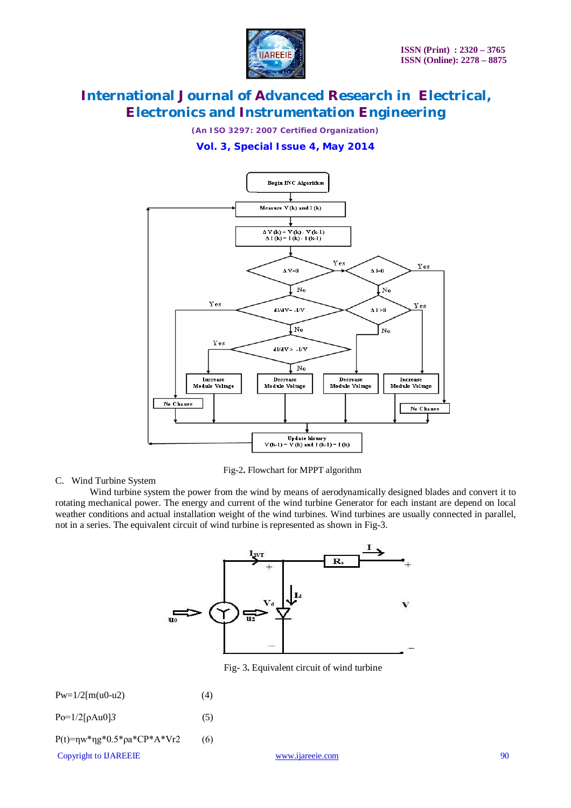

*(An ISO 3297: 2007 Certified Organization)*

### **Vol. 3, Special Issue 4, May 2014**



Fig-2**.** Flowchart for MPPT algorithm

#### C. Wind Turbine System

Wind turbine system the power from the wind by means of aerodynamically designed blades and convert it to rotating mechanical power. The energy and current of the wind turbine Generator for each instant are depend on local weather conditions and actual installation weight of the wind turbines. Wind turbines are usually connected in parallel, not in a series. The equivalent circuit of wind turbine is represented as shown in Fig-3.



Fig- 3**.** Equivalent circuit of wind turbine

| $Pw=1/2[m(u0-u2)]$ | (4) |
|--------------------|-----|
|--------------------|-----|

Po=1/2[ρAu0]*3* (5)

 $P(t)=ηw*ηg*0.5*ρa*CP*A*Vr2$  (6)

Copyright to IJAREEIE www.ijareeie.com 90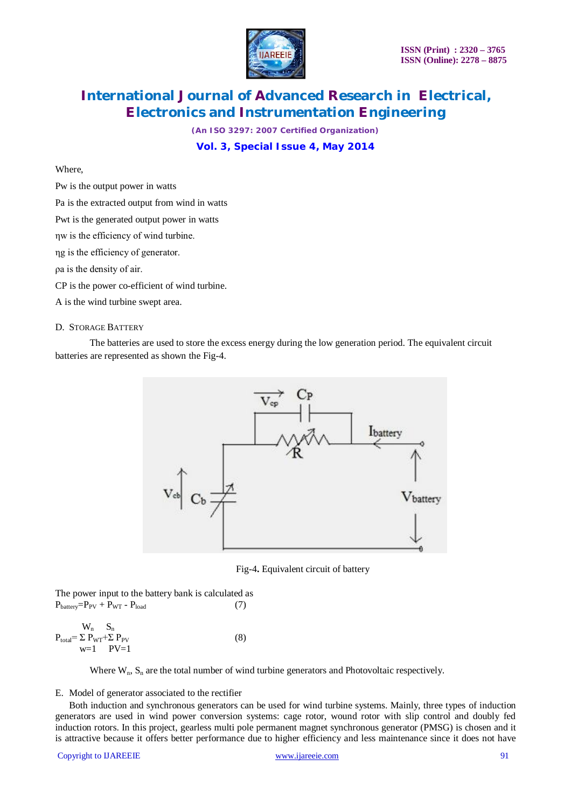

*(An ISO 3297: 2007 Certified Organization)*

**Vol. 3, Special Issue 4, May 2014**

#### Where,

Pw is the output power in watts

Pa is the extracted output from wind in watts

Pwt is the generated output power in watts

ηw is the efficiency of wind turbine.

ηg is the efficiency of generator.

ρa is the density of air.

CP is the power co-efficient of wind turbine.

A is the wind turbine swept area.

#### D. STORAGE BATTERY

The batteries are used to store the excess energy during the low generation period. The equivalent circuit batteries are represented as shown the Fig-4.



Fig-4**.** Equivalent circuit of battery

The power input to the battery bank is calculated as  $P_{\text{battery}} = P_{\text{PV}} + P_{\text{WT}} - P_{\text{load}}$  (7)

 $W_n$   $S_n$  $P_{total} = \sum P_{WT} + \sum P_{PV}$  (8)  $w=1$  PV=1

Where  $W_n$ ,  $S_n$  are the total number of wind turbine generators and Photovoltaic respectively.

#### E. Model of generator associated to the rectifier

Both induction and synchronous generators can be used for wind turbine systems. Mainly, three types of induction generators are used in wind power conversion systems: cage rotor, wound rotor with slip control and doubly fed induction rotors. In this project, gearless multi pole permanent magnet synchronous generator (PMSG) is chosen and it is attractive because it offers better performance due to higher efficiency and less maintenance since it does not have

### Copyright to IJAREEIE www.ijareeie.com 91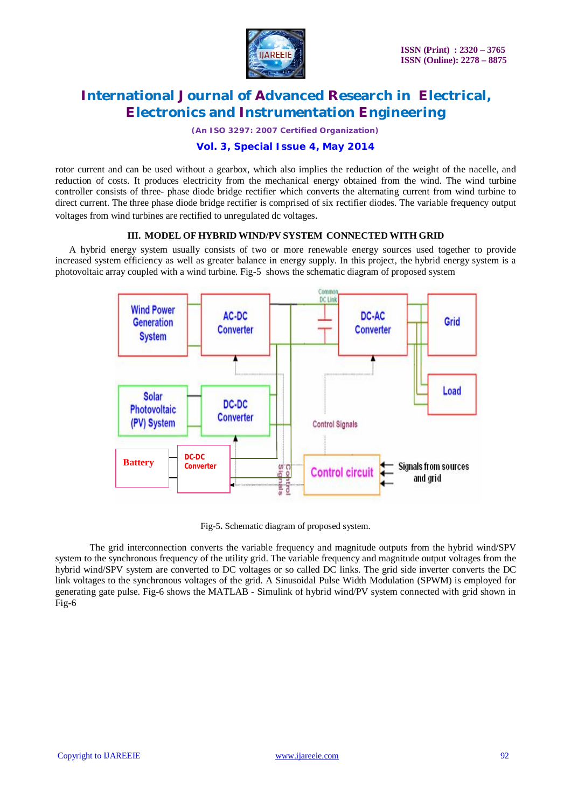

*(An ISO 3297: 2007 Certified Organization)*

### **Vol. 3, Special Issue 4, May 2014**

rotor current and can be used without a gearbox, which also implies the reduction of the weight of the nacelle, and reduction of costs. It produces electricity from the mechanical energy obtained from the wind. The wind turbine controller consists of three- phase diode bridge rectifier which converts the alternating current from wind turbine to direct current. The three phase diode bridge rectifier is comprised of six rectifier diodes. The variable frequency output voltages from wind turbines are rectified to unregulated dc voltages.

### **III. MODEL OF HYBRID WIND/PV SYSTEM CONNECTED WITH GRID**

A hybrid energy system usually consists of two or more renewable energy sources used together to provide increased system efficiency as well as greater balance in energy supply. In this project, the hybrid energy system is a photovoltaic array coupled with a wind turbine. Fig-5 shows the schematic diagram of proposed system



Fig-5**.** Schematic diagram of proposed system.

The grid interconnection converts the variable frequency and magnitude outputs from the hybrid wind/SPV system to the synchronous frequency of the utility grid. The variable frequency and magnitude output voltages from the hybrid wind/SPV system are converted to DC voltages or so called DC links. The grid side inverter converts the DC link voltages to the synchronous voltages of the grid. A Sinusoidal Pulse Width Modulation (SPWM) is employed for generating gate pulse. Fig-6 shows the MATLAB - Simulink of hybrid wind/PV system connected with grid shown in Fig-6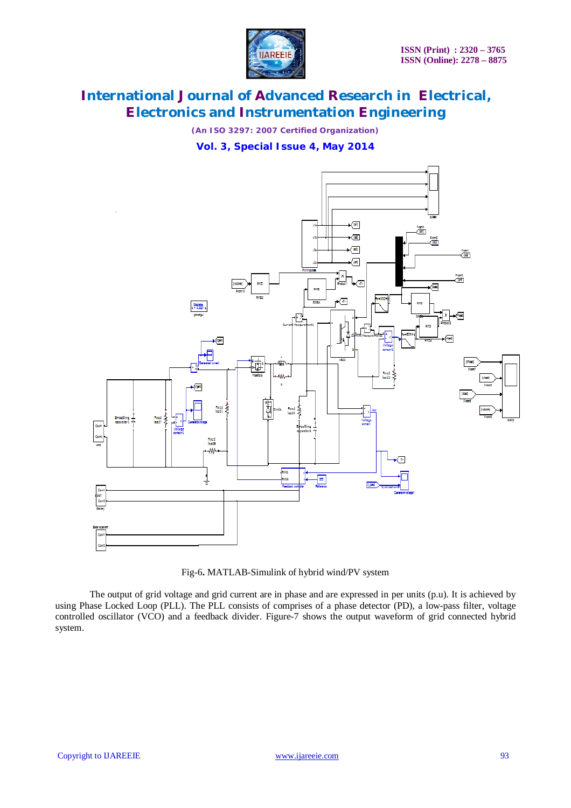

*(An ISO 3297: 2007 Certified Organization)*

**Vol. 3, Special Issue 4, May 2014**



Fig-6**.** MATLAB-Simulink of hybrid wind/PV system

The output of grid voltage and grid current are in phase and are expressed in per units (p.u). It is achieved by using Phase Locked Loop (PLL). The PLL consists of comprises of a phase detector (PD), a low-pass filter, voltage controlled oscillator (VCO) and a feedback divider. Figure-7 shows the output waveform of grid connected hybrid system.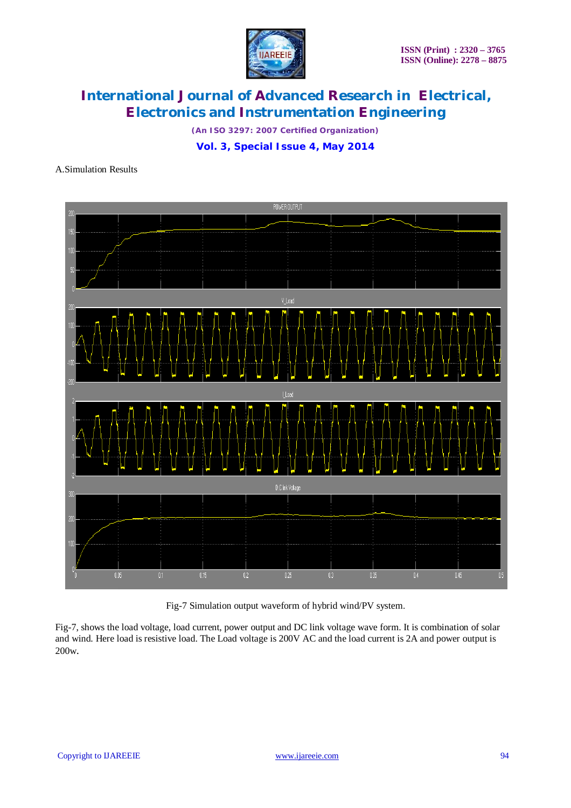

*(An ISO 3297: 2007 Certified Organization)*

**Vol. 3, Special Issue 4, May 2014**

### A.Simulation Results



Fig-7 Simulation output waveform of hybrid wind/PV system.

Fig-7, shows the load voltage, load current, power output and DC link voltage wave form. It is combination of solar and wind. Here load is resistive load. The Load voltage is 200V AC and the load current is 2A and power output is 200w.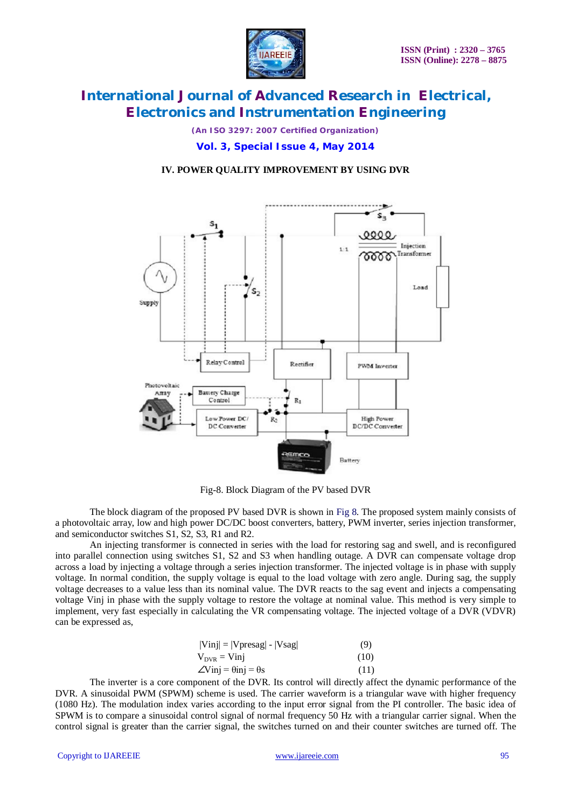

*(An ISO 3297: 2007 Certified Organization)*

**Vol. 3, Special Issue 4, May 2014**

### **IV. POWER QUALITY IMPROVEMENT BY USING DVR**



Fig-8. Block Diagram of the PV based DVR

The block diagram of the proposed PV based DVR is shown in Fig 8. The proposed system mainly consists of a photovoltaic array, low and high power DC/DC boost converters, battery, PWM inverter, series injection transformer, and semiconductor switches S1, S2, S3, R1 and R2.

An injecting transformer is connected in series with the load for restoring sag and swell, and is reconfigured into parallel connection using switches S1, S2 and S3 when handling outage. A DVR can compensate voltage drop across a load by injecting a voltage through a series injection transformer. The injected voltage is in phase with supply voltage. In normal condition, the supply voltage is equal to the load voltage with zero angle. During sag, the supply voltage decreases to a value less than its nominal value. The DVR reacts to the sag event and injects a compensating voltage Vinj in phase with the supply voltage to restore the voltage at nominal value. This method is very simple to implement, very fast especially in calculating the VR compensating voltage. The injected voltage of a DVR (VDVR) can be expressed as,

| $ V\text{inj}  =  V\text{presag}  -  V\text{sag} $ | (9)  |
|----------------------------------------------------|------|
| $V_{DVR} = V_{inj}$                                | (10) |
| $\angle$ Vinj = $\theta$ inj = $\theta$ s          | (11) |

The inverter is a core component of the DVR. Its control will directly affect the dynamic performance of the DVR. A sinusoidal PWM (SPWM) scheme is used. The carrier waveform is a triangular wave with higher frequency (1080 Hz). The modulation index varies according to the input error signal from the PI controller. The basic idea of SPWM is to compare a sinusoidal control signal of normal frequency 50 Hz with a triangular carrier signal. When the control signal is greater than the carrier signal, the switches turned on and their counter switches are turned off. The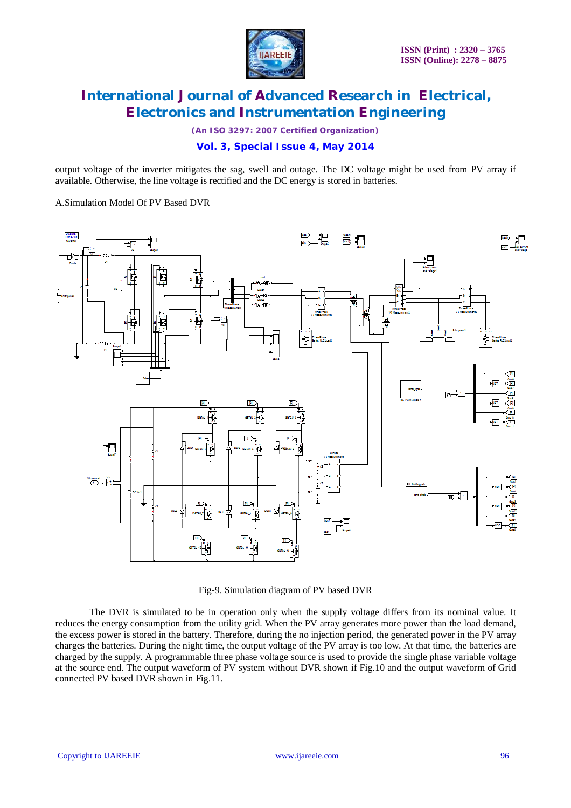

*(An ISO 3297: 2007 Certified Organization)*

### **Vol. 3, Special Issue 4, May 2014**

output voltage of the inverter mitigates the sag, swell and outage. The DC voltage might be used from PV array if available. Otherwise, the line voltage is rectified and the DC energy is stored in batteries.

A.Simulation Model Of PV Based DVR



Fig-9. Simulation diagram of PV based DVR

The DVR is simulated to be in operation only when the supply voltage differs from its nominal value. It reduces the energy consumption from the utility grid. When the PV array generates more power than the load demand, the excess power is stored in the battery. Therefore, during the no injection period, the generated power in the PV array charges the batteries. During the night time, the output voltage of the PV array is too low. At that time, the batteries are charged by the supply. A programmable three phase voltage source is used to provide the single phase variable voltage at the source end. The output waveform of PV system without DVR shown if Fig.10 and the output waveform of Grid connected PV based DVR shown in Fig.11.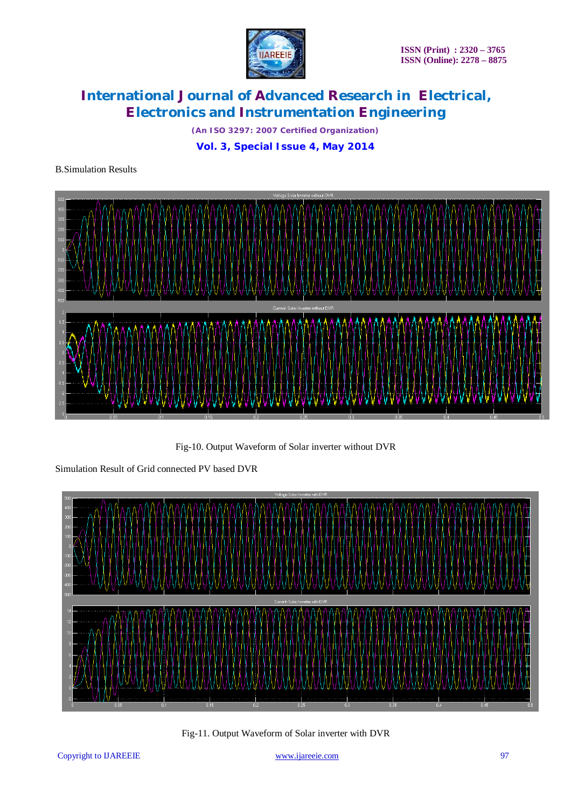

*(An ISO 3297: 2007 Certified Organization)*

**Vol. 3, Special Issue 4, May 2014**

### B.Simulation Results



Fig-10. Output Waveform of Solar inverter without DVR

Simulation Result of Grid connected PV based DVR



Fig-11. Output Waveform of Solar inverter with DVR